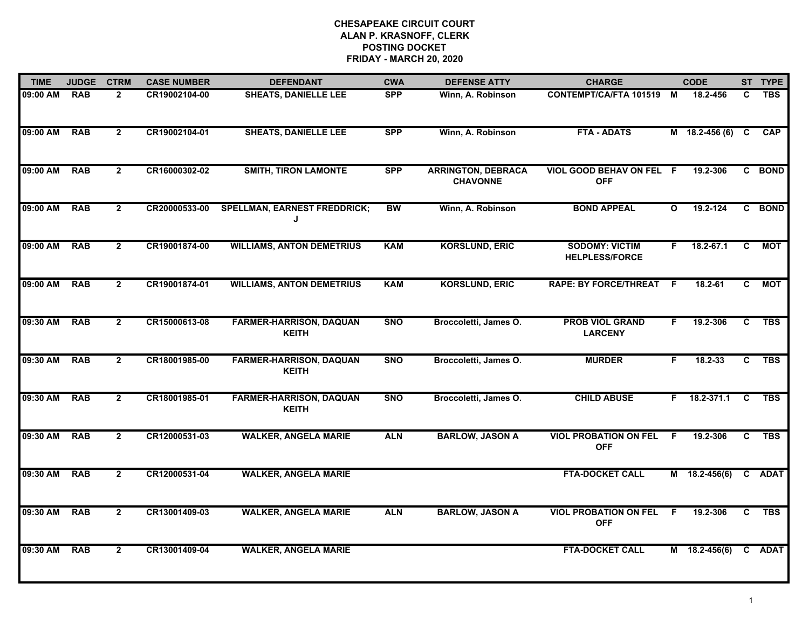## **CHESAPEAKE CIRCUIT COURT ALAN P. KRASNOFF, CLERK POSTING DOCKETFRIDAY - MARCH 20, 2020**

| <b>TIME</b> | <b>JUDGE</b> | <b>CTRM</b>    | <b>CASE NUMBER</b> | <b>DEFENDANT</b>                               | <b>CWA</b> | <b>DEFENSE ATTY</b>                          | <b>CHARGE</b>                                  |                | <b>CODE</b>        |                | ST TYPE    |
|-------------|--------------|----------------|--------------------|------------------------------------------------|------------|----------------------------------------------|------------------------------------------------|----------------|--------------------|----------------|------------|
| 09:00 AM    | <b>RAB</b>   | $\mathbf{2}$   | CR19002104-00      | <b>SHEATS, DANIELLE LEE</b>                    | <b>SPP</b> | Winn, A. Robinson                            | <b>CONTEMPT/CA/FTA 101519</b>                  | M              | 18.2-456           | C              | <b>TBS</b> |
| 09:00 AM    | <b>RAB</b>   | $\mathbf{2}$   | CR19002104-01      | <b>SHEATS, DANIELLE LEE</b>                    | <b>SPP</b> | Winn, A. Robinson                            | <b>FTA - ADATS</b>                             |                | M 18.2-456 (6)     | $\mathbf{C}$   | <b>CAP</b> |
| 09:00 AM    | <b>RAB</b>   | $\mathbf{2}$   | CR16000302-02      | <b>SMITH, TIRON LAMONTE</b>                    | <b>SPP</b> | <b>ARRINGTON, DEBRACA</b><br><b>CHAVONNE</b> | VIOL GOOD BEHAV ON FEL F<br><b>OFF</b>         |                | 19.2-306           |                | C BOND     |
| 09:00 AM    | <b>RAB</b>   | $\overline{2}$ | CR20000533-00      | <b>SPELLMAN, EARNEST FREDDRICK;</b><br>J       | <b>BW</b>  | Winn, A. Robinson                            | <b>BOND APPEAL</b>                             | $\mathbf{o}$   | 19.2-124           |                | C BOND     |
| 09:00 AM    | <b>RAB</b>   | $\mathbf{2}$   | CR19001874-00      | <b>WILLIAMS, ANTON DEMETRIUS</b>               | <b>KAM</b> | <b>KORSLUND, ERIC</b>                        | <b>SODOMY: VICTIM</b><br><b>HELPLESS/FORCE</b> | F.             | $18.2 - 67.1$      | C              | МОТ        |
| 09:00 AM    | <b>RAB</b>   | $\overline{2}$ | CR19001874-01      | <b>WILLIAMS, ANTON DEMETRIUS</b>               | <b>KAM</b> | <b>KORSLUND, ERIC</b>                        | <b>RAPE: BY FORCE/THREAT</b>                   | -F             | $18.2 - 61$        | C              | <b>MOT</b> |
| 09:30 AM    | <b>RAB</b>   | $\overline{2}$ | CR15000613-08      | <b>FARMER-HARRISON, DAQUAN</b><br><b>KEITH</b> | <b>SNO</b> | Broccoletti, James O.                        | <b>PROB VIOL GRAND</b><br><b>LARCENY</b>       | F              | 19.2-306           | $\overline{c}$ | <b>TBS</b> |
| 09:30 AM    | <b>RAB</b>   | $\mathbf{2}$   | CR18001985-00      | <b>FARMER-HARRISON, DAQUAN</b><br><b>KEITH</b> | <b>SNO</b> | Broccoletti, James O.                        | <b>MURDER</b>                                  | F.             | 18.2-33            | C              | <b>TBS</b> |
| 09:30 AM    | <b>RAB</b>   | $\overline{2}$ | CR18001985-01      | <b>FARMER-HARRISON, DAQUAN</b><br><b>KEITH</b> | <b>SNO</b> | Broccoletti, James O.                        | <b>CHILD ABUSE</b>                             |                | $F = 18.2 - 371.1$ | C              | <b>TBS</b> |
| 09:30 AM    | <b>RAB</b>   | $\mathbf{2}$   | CR12000531-03      | <b>WALKER, ANGELA MARIE</b>                    | <b>ALN</b> | <b>BARLOW, JASON A</b>                       | <b>VIOL PROBATION ON FEL</b><br><b>OFF</b>     | - F            | 19.2-306           | C.             | <b>TBS</b> |
| 09:30 AM    | <b>RAB</b>   | $\overline{2}$ | CR12000531-04      | <b>WALKER, ANGELA MARIE</b>                    |            |                                              | <b>FTA-DOCKET CALL</b>                         |                | $M$ 18.2-456(6)    |                | C ADAT     |
| 09:30 AM    | <b>RAB</b>   | $\overline{2}$ | CR13001409-03      | <b>WALKER, ANGELA MARIE</b>                    | <b>ALN</b> | <b>BARLOW, JASON A</b>                       | <b>VIOL PROBATION ON FEL</b><br><b>OFF</b>     | $\overline{F}$ | 19.2-306           | $\overline{c}$ | <b>TBS</b> |
| 09:30 AM    | <b>RAB</b>   | $\overline{2}$ | CR13001409-04      | <b>WALKER, ANGELA MARIE</b>                    |            |                                              | <b>FTA-DOCKET CALL</b>                         |                | M 18.2-456(6)      |                | C ADAT     |